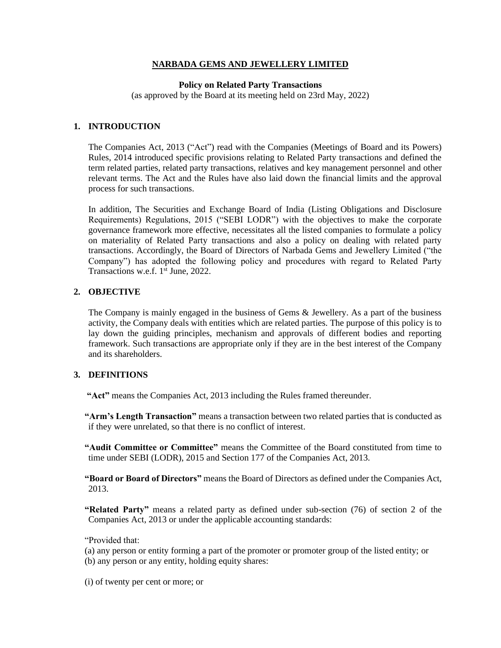# **NARBADA GEMS AND JEWELLERY LIMITED**

#### **Policy on Related Party Transactions**

(as approved by the Board at its meeting held on 23rd May, 2022)

# **1. INTRODUCTION**

The Companies Act, 2013 ("Act") read with the Companies (Meetings of Board and its Powers) Rules, 2014 introduced specific provisions relating to Related Party transactions and defined the term related parties, related party transactions, relatives and key management personnel and other relevant terms. The Act and the Rules have also laid down the financial limits and the approval process for such transactions.

In addition, The Securities and Exchange Board of India (Listing Obligations and Disclosure Requirements) Regulations, 2015 ("SEBI LODR") with the objectives to make the corporate governance framework more effective, necessitates all the listed companies to formulate a policy on materiality of Related Party transactions and also a policy on dealing with related party transactions. Accordingly, the Board of Directors of Narbada Gems and Jewellery Limited ("the Company") has adopted the following policy and procedures with regard to Related Party Transactions w.e.f. 1<sup>st</sup> June, 2022.

#### **2. OBJECTIVE**

The Company is mainly engaged in the business of Gems & Jewellery. As a part of the business activity, the Company deals with entities which are related parties. The purpose of this policy is to lay down the guiding principles, mechanism and approvals of different bodies and reporting framework. Such transactions are appropriate only if they are in the best interest of the Company and its shareholders.

#### **3. DEFINITIONS**

**"Act"** means the Companies Act, 2013 including the Rules framed thereunder.

**"Arm's Length Transaction"** means a transaction between two related parties that is conducted as if they were unrelated, so that there is no conflict of interest.

**"Audit Committee or Committee"** means the Committee of the Board constituted from time to time under SEBI (LODR), 2015 and Section 177 of the Companies Act, 2013.

**"Board or Board of Directors"** means the Board of Directors as defined under the Companies Act, 2013.

**"Related Party"** means a related party as defined under sub-section (76) of section 2 of the Companies Act, 2013 or under the applicable accounting standards:

"Provided that:

(a) any person or entity forming a part of the promoter or promoter group of the listed entity; or (b) any person or any entity, holding equity shares:

(i) of twenty per cent or more; or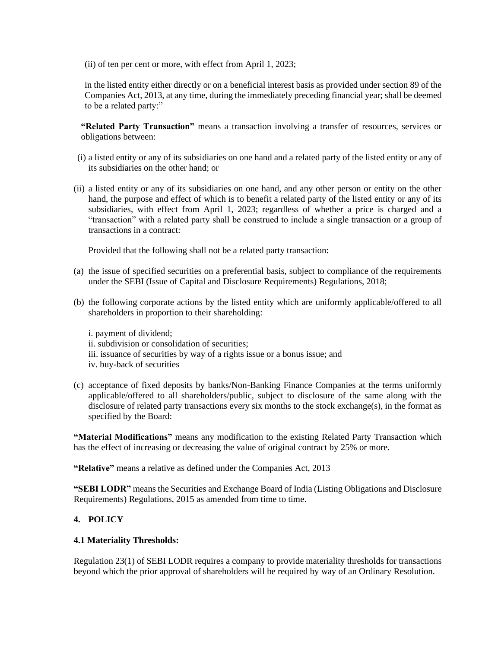(ii) of ten per cent or more, with effect from April 1, 2023;

in the listed entity either directly or on a beneficial interest basis as provided under section 89 of the Companies Act, 2013, at any time, during the immediately preceding financial year; shall be deemed to be a related party:"

**"Related Party Transaction"** means a transaction involving a transfer of resources, services or obligations between:

- (i) a listed entity or any of its subsidiaries on one hand and a related party of the listed entity or any of its subsidiaries on the other hand; or
- (ii) a listed entity or any of its subsidiaries on one hand, and any other person or entity on the other hand, the purpose and effect of which is to benefit a related party of the listed entity or any of its subsidiaries, with effect from April 1, 2023; regardless of whether a price is charged and a "transaction" with a related party shall be construed to include a single transaction or a group of transactions in a contract:

Provided that the following shall not be a related party transaction:

- (a) the issue of specified securities on a preferential basis, subject to compliance of the requirements under the SEBI (Issue of Capital and Disclosure Requirements) Regulations, 2018;
- (b) the following corporate actions by the listed entity which are uniformly applicable/offered to all shareholders in proportion to their shareholding:

i. payment of dividend; ii. subdivision or consolidation of securities; iii. issuance of securities by way of a rights issue or a bonus issue; and iv. buy-back of securities

(c) acceptance of fixed deposits by banks/Non-Banking Finance Companies at the terms uniformly applicable/offered to all shareholders/public, subject to disclosure of the same along with the disclosure of related party transactions every six months to the stock exchange(s), in the format as specified by the Board:

**"Material Modifications"** means any modification to the existing Related Party Transaction which has the effect of increasing or decreasing the value of original contract by 25% or more.

**"Relative"** means a relative as defined under the Companies Act, 2013

**"SEBI LODR"** means the Securities and Exchange Board of India (Listing Obligations and Disclosure Requirements) Regulations, 2015 as amended from time to time.

# **4. POLICY**

# **4.1 Materiality Thresholds:**

Regulation 23(1) of SEBI LODR requires a company to provide materiality thresholds for transactions beyond which the prior approval of shareholders will be required by way of an Ordinary Resolution.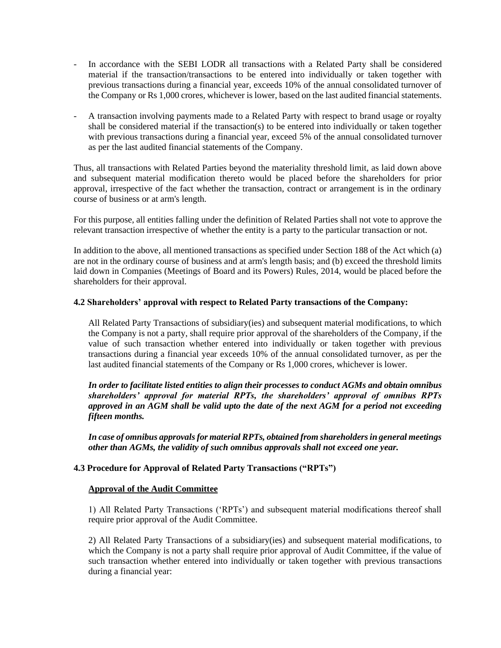- In accordance with the SEBI LODR all transactions with a Related Party shall be considered material if the transaction/transactions to be entered into individually or taken together with previous transactions during a financial year, exceeds 10% of the annual consolidated turnover of the Company or Rs 1,000 crores, whichever is lower, based on the last audited financial statements.
- A transaction involving payments made to a Related Party with respect to brand usage or royalty shall be considered material if the transaction(s) to be entered into individually or taken together with previous transactions during a financial year, exceed 5% of the annual consolidated turnover as per the last audited financial statements of the Company.

Thus, all transactions with Related Parties beyond the materiality threshold limit, as laid down above and subsequent material modification thereto would be placed before the shareholders for prior approval, irrespective of the fact whether the transaction, contract or arrangement is in the ordinary course of business or at arm's length.

For this purpose, all entities falling under the definition of Related Parties shall not vote to approve the relevant transaction irrespective of whether the entity is a party to the particular transaction or not.

In addition to the above, all mentioned transactions as specified under Section 188 of the Act which (a) are not in the ordinary course of business and at arm's length basis; and (b) exceed the threshold limits laid down in Companies (Meetings of Board and its Powers) Rules, 2014, would be placed before the shareholders for their approval.

# **4.2 Shareholders' approval with respect to Related Party transactions of the Company:**

All Related Party Transactions of subsidiary(ies) and subsequent material modifications, to which the Company is not a party, shall require prior approval of the shareholders of the Company, if the value of such transaction whether entered into individually or taken together with previous transactions during a financial year exceeds 10% of the annual consolidated turnover, as per the last audited financial statements of the Company or Rs 1,000 crores, whichever is lower.

*In order to facilitate listed entities to align their processes to conduct AGMs and obtain omnibus shareholders' approval for material RPTs, the shareholders' approval of omnibus RPTs approved in an AGM shall be valid upto the date of the next AGM for a period not exceeding fifteen months.*

*In case of omnibus approvals for material RPTs, obtained from shareholders in general meetings other than AGMs, the validity of such omnibus approvals shall not exceed one year.*

# **4.3 Procedure for Approval of Related Party Transactions ("RPTs")**

# **Approval of the Audit Committee**

1) All Related Party Transactions ('RPTs') and subsequent material modifications thereof shall require prior approval of the Audit Committee.

2) All Related Party Transactions of a subsidiary(ies) and subsequent material modifications, to which the Company is not a party shall require prior approval of Audit Committee, if the value of such transaction whether entered into individually or taken together with previous transactions during a financial year: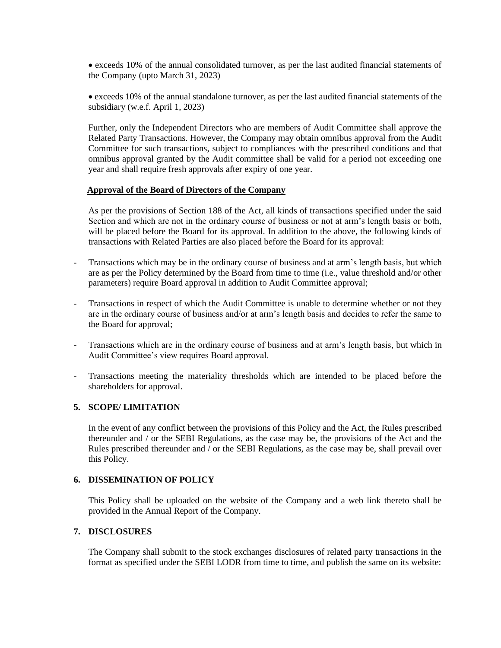• exceeds 10% of the annual consolidated turnover, as per the last audited financial statements of the Company (upto March 31, 2023)

• exceeds 10% of the annual standalone turnover, as per the last audited financial statements of the subsidiary (w.e.f. April 1, 2023)

Further, only the Independent Directors who are members of Audit Committee shall approve the Related Party Transactions. However, the Company may obtain omnibus approval from the Audit Committee for such transactions, subject to compliances with the prescribed conditions and that omnibus approval granted by the Audit committee shall be valid for a period not exceeding one year and shall require fresh approvals after expiry of one year.

#### **Approval of the Board of Directors of the Company**

As per the provisions of Section 188 of the Act, all kinds of transactions specified under the said Section and which are not in the ordinary course of business or not at arm's length basis or both, will be placed before the Board for its approval. In addition to the above, the following kinds of transactions with Related Parties are also placed before the Board for its approval:

- Transactions which may be in the ordinary course of business and at arm's length basis, but which are as per the Policy determined by the Board from time to time (i.e., value threshold and/or other parameters) require Board approval in addition to Audit Committee approval;
- Transactions in respect of which the Audit Committee is unable to determine whether or not they are in the ordinary course of business and/or at arm's length basis and decides to refer the same to the Board for approval;
- Transactions which are in the ordinary course of business and at arm's length basis, but which in Audit Committee's view requires Board approval.
- Transactions meeting the materiality thresholds which are intended to be placed before the shareholders for approval.

# **5. SCOPE/ LIMITATION**

In the event of any conflict between the provisions of this Policy and the Act, the Rules prescribed thereunder and / or the SEBI Regulations, as the case may be, the provisions of the Act and the Rules prescribed thereunder and / or the SEBI Regulations, as the case may be, shall prevail over this Policy.

#### **6. DISSEMINATION OF POLICY**

This Policy shall be uploaded on the website of the Company and a web link thereto shall be provided in the Annual Report of the Company.

# **7. DISCLOSURES**

The Company shall submit to the stock exchanges disclosures of related party transactions in the format as specified under the SEBI LODR from time to time, and publish the same on its website: